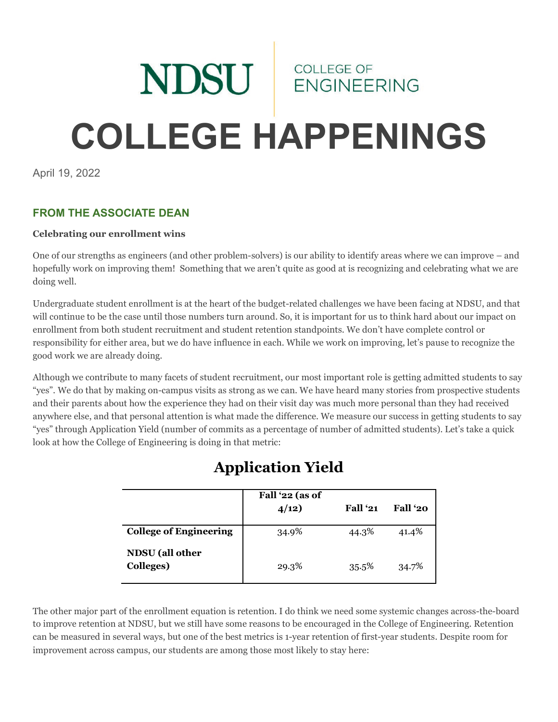# NDSU ENGINEER **ENGINEERING COLLEGE HAPPENINGS**

April 19, 2022

# **FROM THE ASSOCIATE DEAN**

#### **Celebrating our enrollment wins**

One of our strengths as engineers (and other problem-solvers) is our ability to identify areas where we can improve – and hopefully work on improving them! Something that we aren't quite as good at is recognizing and celebrating what we are doing well.

Undergraduate student enrollment is at the heart of the budget-related challenges we have been facing at NDSU, and that will continue to be the case until those numbers turn around. So, it is important for us to think hard about our impact on enrollment from both student recruitment and student retention standpoints. We don't have complete control or responsibility for either area, but we do have influence in each. While we work on improving, let's pause to recognize the good work we are already doing.

Although we contribute to many facets of student recruitment, our most important role is getting admitted students to say "yes". We do that by making on-campus visits as strong as we can. We have heard many stories from prospective students and their parents about how the experience they had on their visit day was much more personal than they had received anywhere else, and that personal attention is what made the difference. We measure our success in getting students to say "yes" through Application Yield (number of commits as a percentage of number of admitted students). Let's take a quick look at how the College of Engineering is doing in that metric:

|                                     | Fall '22 (as of<br>4/12) | Fall '21 | Fall '20 |
|-------------------------------------|--------------------------|----------|----------|
| <b>College of Engineering</b>       | 34.9%                    | 44.3%    | 41.4%    |
| <b>NDSU</b> (all other<br>Colleges) | 29.3%                    | 35.5%    | 34.7%    |

# **Application Yield**

The other major part of the enrollment equation is retention. I do think we need some systemic changes across-the-board to improve retention at NDSU, but we still have some reasons to be encouraged in the College of Engineering. Retention can be measured in several ways, but one of the best metrics is 1-year retention of first-year students. Despite room for improvement across campus, our students are among those most likely to stay here: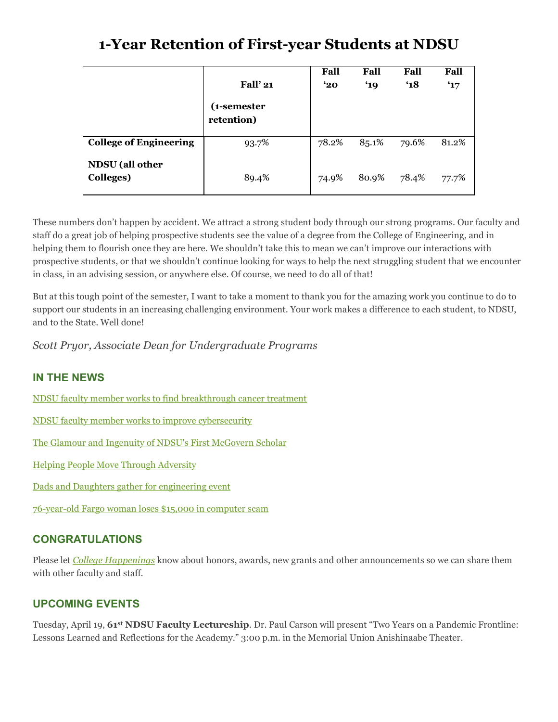# **1-Year Retention of First-year Students at NDSU**

|                               | <b>Fall' 21</b>           | Fall<br>$^{\circ}20$ | Fall<br>'19 | Fall<br>$^{\circ}18$ | Fall<br>$^{\circ}17$ |
|-------------------------------|---------------------------|----------------------|-------------|----------------------|----------------------|
|                               | (1-semester<br>retention) |                      |             |                      |                      |
| <b>College of Engineering</b> | 93.7%                     | 78.2%                | 85.1%       | 79.6%                | 81.2%                |
| NDSU (all other<br>Colleges)  | 89.4%                     | 74.9%                | 80.9%       | 78.4%                | 77.7%                |

These numbers don't happen by accident. We attract a strong student body through our strong programs. Our faculty and staff do a great job of helping prospective students see the value of a degree from the College of Engineering, and in helping them to flourish once they are here. We shouldn't take this to mean we can't improve our interactions with prospective students, or that we shouldn't continue looking for ways to help the next struggling student that we encounter in class, in an advising session, or anywhere else. Of course, we need to do all of that!

But at this tough point of the semester, I want to take a moment to thank you for the amazing work you continue to do to support our students in an increasing challenging environment. Your work makes a difference to each student, to NDSU, and to the State. Well done!

*Scott Pryor, Associate Dean for Undergraduate Programs*

## **IN THE NEWS**

[NDSU faculty member works to find breakthrough cancer treatment](https://www.ndsu.edu/news/view/detail/68087/)

- [NDSU faculty member works to improve cybersecurity](https://www.ndsu.edu/news/view/detail/68133/)
- [The Glamour and Ingenuity of NDSU's First McGovern Scholar](https://ndsufoundation.com/magazine/2022/04/first-mcgovern-scholar)
- [Helping People Move Through Adversity](https://ndsufoundation.com/magazine/2022/03/2022-academic-achievement-award)
- [Dads and Daughters gather for engineering event](https://www.kvrr.com/2022/04/10/dads-and-daughters-gather-for-engineering-event/)
- [76-year-old Fargo woman loses \\$15,000 in computer scam](https://www.valleynewslive.com/2022/04/13/76-year-old-fargo-woman-loses-more-than-15000-computer-scam/)

#### **CONGRATULATIONS**

Please let *[College Happenings](mailto:kyle.bosch@ndsu.edu)* know about honors, awards, new grants and other announcements so we can share them with other faculty and staff.

#### **UPCOMING EVENTS**

Tuesday, April 19, **61st NDSU Faculty Lectureship**. Dr. Paul Carson will present "Two Years on a Pandemic Frontline: Lessons Learned and Reflections for the Academy." 3:00 p.m. in the Memorial Union Anishinaabe Theater.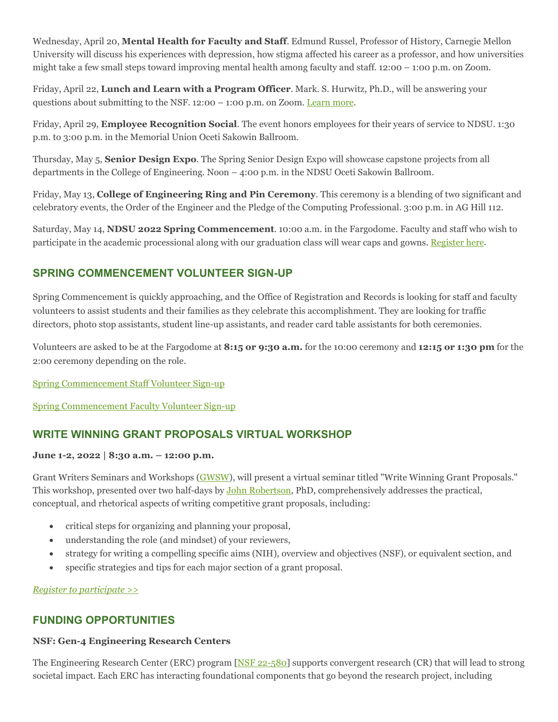Wednesday, April 20, **Mental Health for Faculty and Staff**. Edmund Russel, Professor of History, Carnegie Mellon University will discuss his experiences with depression, how stigma affected his career as a professor, and how universities might take a few small steps toward improving mental health among faculty and staff. 12:00 – 1:00 p.m. on Zoom.

Friday, April 22, **Lunch and Learn with a Program Officer**. Mark. S. Hurwitz, Ph.D., will be answering your questions about submitting to the NSF.  $12:00 - 1:00$  p.m. on Zoom. [Learn more.](https://www.ndsu.edu/research/rca_events/)

Friday, April 29, **Employee Recognition Social**. The event honors employees for their years of service to NDSU. 1:30 p.m. to 3:00 p.m. in the Memorial Union Oceti Sakowin Ballroom.

Thursday, May 5, **Senior Design Expo**. The Spring Senior Design Expo will showcase capstone projects from all departments in the College of Engineering. Noon – 4:00 p.m. in the NDSU Oceti Sakowin Ballroom.

Friday, May 13, **College of Engineering Ring and Pin Ceremony**. This ceremony is a blending of two significant and celebratory events, the Order of the Engineer and the Pledge of the Computing Professional. 3:00 p.m. in AG Hill 112.

Saturday, May 14, **NDSU 2022 Spring Commencement**. 10:00 a.m. in the Fargodome. Faculty and staff who wish to participate in the academic processional along with our graduation class will wear caps and gowns. [Register here.](https://www.ndsu.edu/commencement/facstaff/)

## **SPRING COMMENCEMENT VOLUNTEER SIGN-UP**

Spring Commencement is quickly approaching, and the Office of Registration and Records is looking for staff and faculty volunteers to assist students and their families as they celebrate this accomplishment. They are looking for traffic directors, photo stop assistants, student line-up assistants, and reader card table assistants for both ceremonies.

Volunteers are asked to be at the Fargodome at **8:15 or 9:30 a.m.** for the 10:00 ceremony and **12:15 or 1:30 pm** for the 2:00 ceremony depending on the role.

[Spring Commencement Staff Volunteer Sign-up](https://www.signupgenius.com/go/20F0B48A4AD2DAAFC1-spring1)

[Spring Commencement Faculty Volunteer Sign-up](https://www.signupgenius.com/go/20F0B48A4AD2DAAFC1-spring1)

## **WRITE WINNING GRANT PROPOSALS VIRTUAL WORKSHOP**

#### **June 1-2, 2022 | 8:30 a.m. – 12:00 p.m.**

Grant Writers Seminars and Workshops [\(GWSW\)](https://ndsu.us19.list-manage.com/track/click?u=6c5d98a898bad27df38e6394a&id=bfe115a109&e=ca813aff99), will present a virtual seminar titled "Write Winning Grant Proposals." This workshop, presented over two half-days by [John Robertson,](https://ndsu.us19.list-manage.com/track/click?u=6c5d98a898bad27df38e6394a&id=4079d57da6&e=ca813aff99) PhD, comprehensively addresses the practical, conceptual, and rhetorical aspects of writing competitive grant proposals, including:

- critical steps for organizing and planning your proposal,
- understanding the role (and mindset) of your reviewers,
- strategy for writing a compelling specific aims (NIH), overview and objectives (NSF), or equivalent section, and
- specific strategies and tips for each major section of a grant proposal.

*[Register to participate >>](https://ndsu.us19.list-manage.com/track/click?u=6c5d98a898bad27df38e6394a&id=fff2e2345f&e=ca813aff99)*

## **FUNDING OPPORTUNITIES**

#### **NSF: Gen-4 Engineering Research Centers**

The Engineering Research Center (ERC) program [\[NSF 22-580\]](https://ndsu.us19.list-manage.com/track/click?u=6c5d98a898bad27df38e6394a&id=2e37597abe&e=ca813aff99) supports convergent research (CR) that will lead to strong societal impact. Each ERC has interacting foundational components that go beyond the research project, including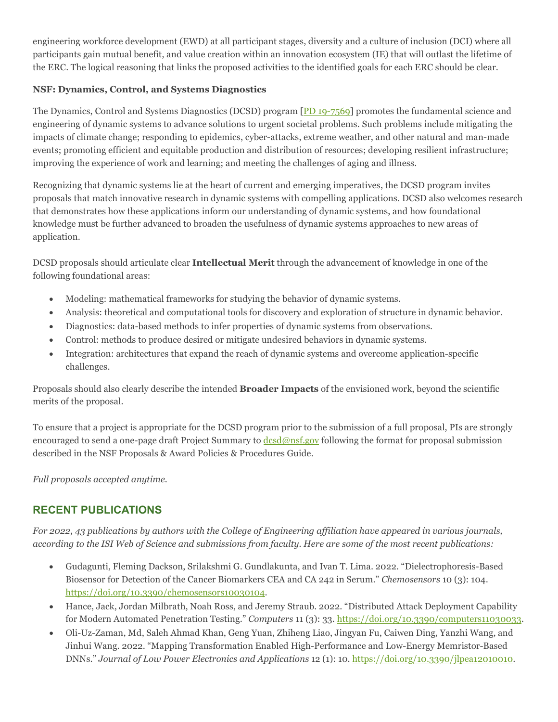engineering workforce development (EWD) at all participant stages, diversity and a culture of inclusion (DCI) where all participants gain mutual benefit, and value creation within an innovation ecosystem (IE) that will outlast the lifetime of the ERC. The logical reasoning that links the proposed activities to the identified goals for each ERC should be clear.

#### **NSF: Dynamics, Control, and Systems Diagnostics**

The Dynamics, Control and Systems Diagnostics (DCSD) program [\[PD 19-7569\]](https://ndsu.us19.list-manage.com/track/click?u=6c5d98a898bad27df38e6394a&id=e45cbad466&e=ca813aff99) promotes the fundamental science and engineering of dynamic systems to advance solutions to urgent societal problems. Such problems include mitigating the impacts of climate change; responding to epidemics, cyber-attacks, extreme weather, and other natural and man-made events; promoting efficient and equitable production and distribution of resources; developing resilient infrastructure; improving the experience of work and learning; and meeting the challenges of aging and illness.

Recognizing that dynamic systems lie at the heart of current and emerging imperatives, the DCSD program invites proposals that match innovative research in dynamic systems with compelling applications. DCSD also welcomes research that demonstrates how these applications inform our understanding of dynamic systems, and how foundational knowledge must be further advanced to broaden the usefulness of dynamic systems approaches to new areas of application.

DCSD proposals should articulate clear **Intellectual Merit** through the advancement of knowledge in one of the following foundational areas:

- Modeling: mathematical frameworks for studying the behavior of dynamic systems.
- Analysis: theoretical and computational tools for discovery and exploration of structure in dynamic behavior.
- Diagnostics: data-based methods to infer properties of dynamic systems from observations.
- Control: methods to produce desired or mitigate undesired behaviors in dynamic systems.
- Integration: architectures that expand the reach of dynamic systems and overcome application-specific challenges.

Proposals should also clearly describe the intended **Broader Impacts** of the envisioned work, beyond the scientific merits of the proposal.

To ensure that a project is appropriate for the DCSD program prior to the submission of a full proposal, PIs are strongly encouraged to send a one-page draft Project Summary to  $\frac{d}{dsd}$  enseming the format for proposal submission described in the NSF Proposals & Award Policies & Procedures Guide.

*Full proposals accepted anytime.*

## **RECENT PUBLICATIONS**

*For 2022, 43 publications by authors with the College of Engineering affiliation have appeared in various journals, according to the ISI Web of Science and submissions from faculty. Here are some of the most recent publications:*

- Gudagunti, Fleming Dackson, Srilakshmi G. Gundlakunta, and Ivan T. Lima. 2022. "Dielectrophoresis-Based Biosensor for Detection of the Cancer Biomarkers CEA and CA 242 in Serum." *Chemosensors* 10 (3): 104. [https://doi.org/10.3390/chemosensors10030104.](https://doi.org/10.3390/chemosensors10030104)
- Hance, Jack, Jordan Milbrath, Noah Ross, and Jeremy Straub. 2022. "Distributed Attack Deployment Capability for Modern Automated Penetration Testing." *Computers* 11 (3): 33. [https://doi.org/10.3390/computers11030033.](https://doi.org/10.3390/computers11030033)
- Oli-Uz-Zaman, Md, Saleh Ahmad Khan, Geng Yuan, Zhiheng Liao, Jingyan Fu, Caiwen Ding, Yanzhi Wang, and Jinhui Wang. 2022. "Mapping Transformation Enabled High-Performance and Low-Energy Memristor-Based DNNs." *Journal of Low Power Electronics and Applications* 12 (1): 10[. https://doi.org/10.3390/jlpea12010010.](https://doi.org/10.3390/jlpea12010010)